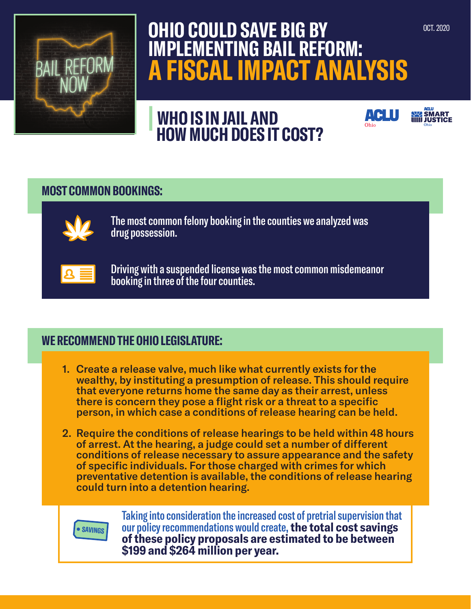

# **OHIO COULD SAVE BIG BY IMPLEMENTING BAIL REFORM: A FISCAL IMPACT ANALYSIS**

**| WHO IS IN JAIL AND HOW MUCH DOES IT COST?**

## **MOST COMMON BOOKINGS:**



The most common felony booking in the counties we analyzed was drug possession.



Driving with a suspended license was the most common misdemeanor booking in three of the four counties.

# **WE RECOMMEND THE OHIO LEGISLATURE:**

- 1. Create a release valve, much like what currently exists for the wealthy, by instituting a presumption of release. This should require that everyone returns home the same day as their arrest, unless there is concern they pose a flight risk or a threat to a specific person, in which case a conditions of release hearing can be held.
- 2. Require the conditions of release hearings to be held within 48 hours of arrest. At the hearing, a judge could set a number of different conditions of release necessary to assure appearance and the safety of specific individuals. For those charged with crimes for which preventative detention is available, the conditions of release hearing could turn into a detention hearing.



Taking into consideration the increased cost of pretrial supervision that our policy recommendations would create, **the total cost savings of these policy proposals are estimated to be between \$199 and \$264 million per year.** 

**SMART**<br>**IIIII** JUSTICI

**ACLU**